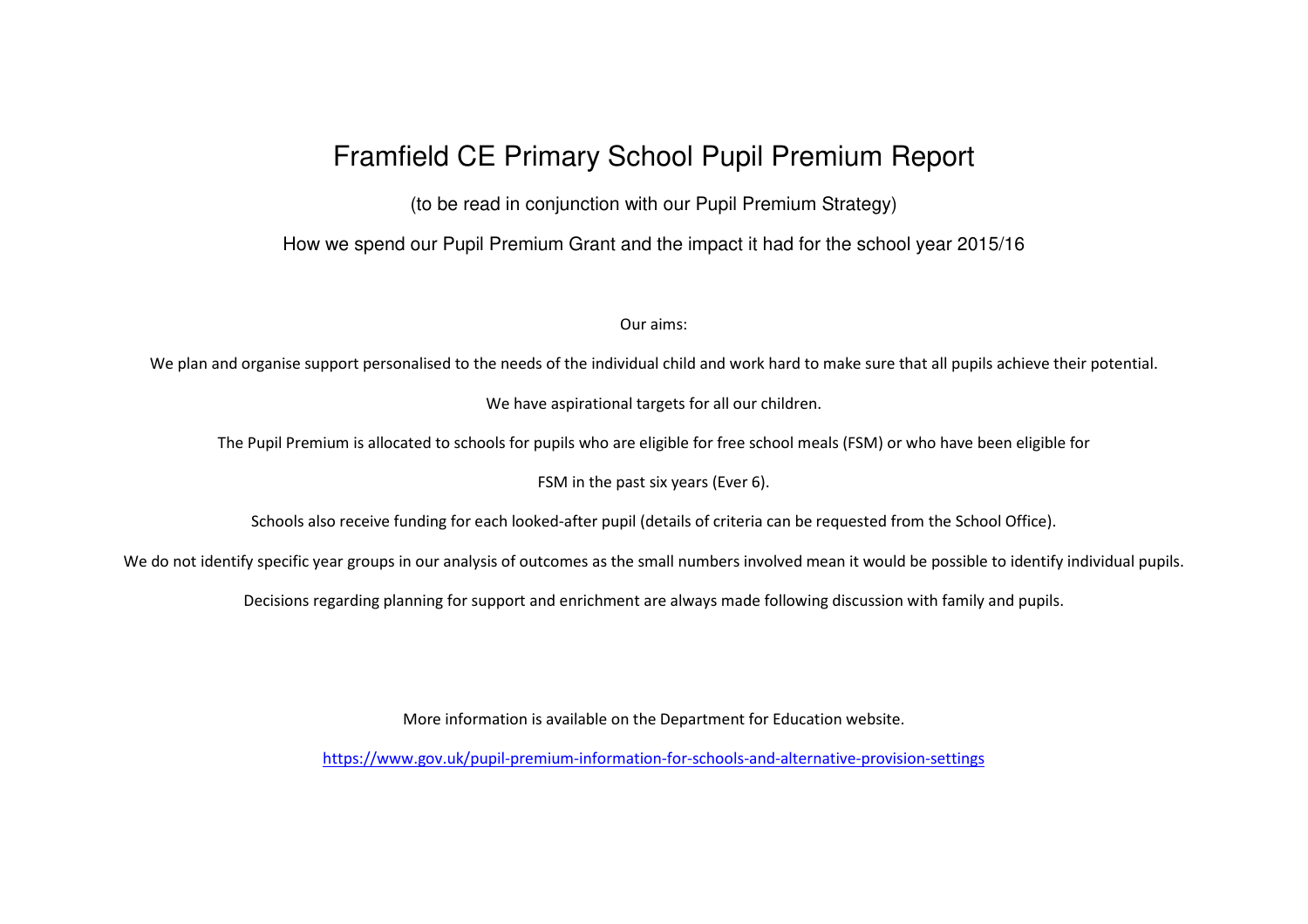# Framfield CE Primary School Pupil Premium Report

(to be read in conjunction with our Pupil Premium Strategy)

How we spend our Pupil Premium Grant and the impact it had for the school year 2015/16

Our aims:

We plan and organise support personalised to the needs of the individual child and work hard to make sure that all pupils achieve their potential.

We have aspirational targets for all our children.

The Pupil Premium is allocated to schools for pupils who are eligible for free school meals (FSM) or who have been eligible for

FSM in the past six years (Ever 6).

Schools also receive funding for each looked-after pupil (details of criteria can be requested from the School Office).

We do not identify specific year groups in our analysis of outcomes as the small numbers involved mean it would be possible to identify individual pupils.

Decisions regarding planning for support and enrichment are always made following discussion with family and pupils.

More information is available on the Department for Education website.

https://www.gov.uk/pupil-premium-information-for-schools-and-alternative-provision-settings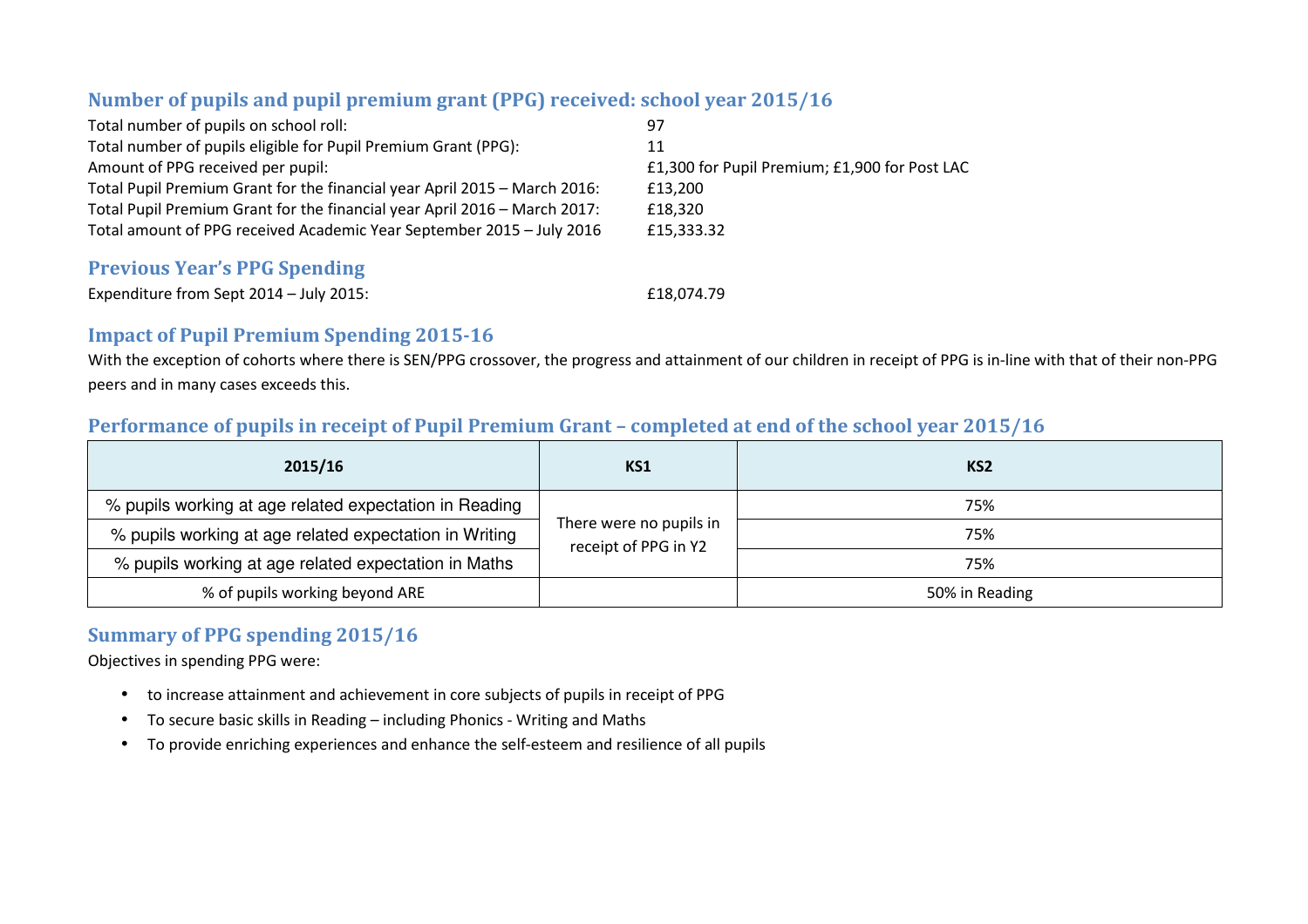### **Number of pupils and pupil premium grant (PPG) received: school year 2015/16**

| Total number of pupils on school roll:                                    | 97                                            |
|---------------------------------------------------------------------------|-----------------------------------------------|
| Total number of pupils eligible for Pupil Premium Grant (PPG):            | 11                                            |
| Amount of PPG received per pupil:                                         | £1,300 for Pupil Premium; £1,900 for Post LAC |
| Total Pupil Premium Grant for the financial year April 2015 - March 2016: | £13.200                                       |
| Total Pupil Premium Grant for the financial year April 2016 - March 2017: | £18.320                                       |
| Total amount of PPG received Academic Year September 2015 - July 2016     | £15,333.32                                    |
|                                                                           |                                               |

#### **Previous Year's PPG Spending**

| Expenditure from Sept 2014 - July 2015: | £18,074.79 |
|-----------------------------------------|------------|
|                                         |            |

#### **Impact of Pupil Premium Spending 2015-16**

With the exception of cohorts where there is SEN/PPG crossover, the progress and attainment of our children in receipt of PPG is in-line with that of their non-PPG peers and in many cases exceeds this.

#### **Performance of pupils in receipt of Pupil Premium Grant – completed at end of the school year 2015/16**

| 2015/16                                                | KS1                                             | KS <sub>2</sub> |
|--------------------------------------------------------|-------------------------------------------------|-----------------|
| % pupils working at age related expectation in Reading |                                                 | 75%             |
| % pupils working at age related expectation in Writing | There were no pupils in<br>receipt of PPG in Y2 | 75%             |
| % pupils working at age related expectation in Maths   |                                                 | 75%             |
| % of pupils working beyond ARE                         |                                                 | 50% in Reading  |

## **Summary of PPG spending 2015/16**

Objectives in spending PPG were:

- to increase attainment and achievement in core subjects of pupils in receipt of PPG
- $\bullet$ To secure basic skills in Reading – including Phonics - Writing and Maths
- To provide enriching experiences and enhance the self-esteem and resilience of all pupils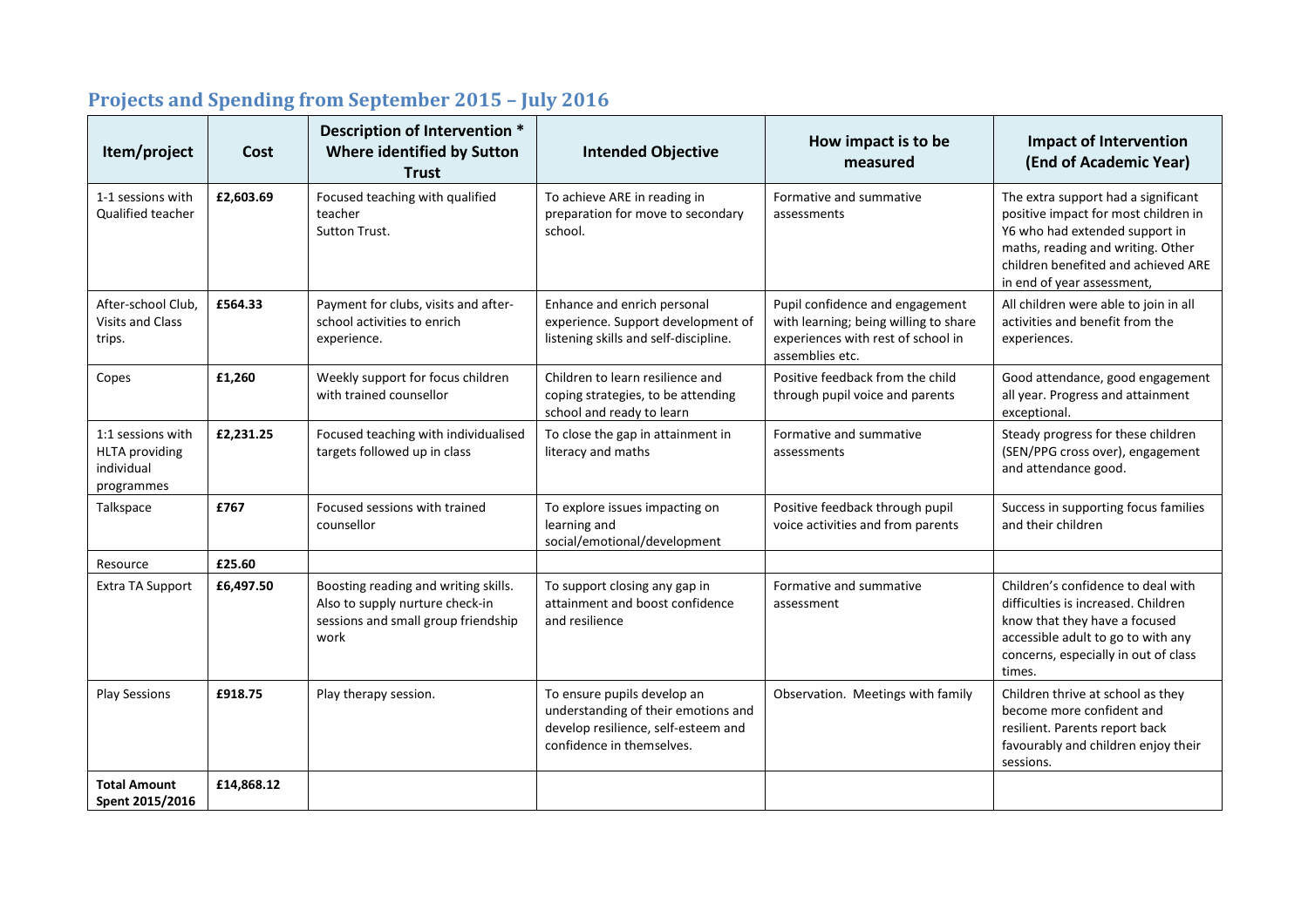| Item/project                                                           | Cost       | Description of Intervention *<br>Where identified by Sutton<br><b>Trust</b>                                            | <b>Intended Objective</b>                                                                                                              | How impact is to be<br>measured                                                                                                   | <b>Impact of Intervention</b><br>(End of Academic Year)                                                                                                                                                                 |
|------------------------------------------------------------------------|------------|------------------------------------------------------------------------------------------------------------------------|----------------------------------------------------------------------------------------------------------------------------------------|-----------------------------------------------------------------------------------------------------------------------------------|-------------------------------------------------------------------------------------------------------------------------------------------------------------------------------------------------------------------------|
| 1-1 sessions with<br><b>Qualified teacher</b>                          | £2,603.69  | Focused teaching with qualified<br>teacher<br>Sutton Trust.                                                            | To achieve ARE in reading in<br>preparation for move to secondary<br>school.                                                           | Formative and summative<br>assessments                                                                                            | The extra support had a significant<br>positive impact for most children in<br>Y6 who had extended support in<br>maths, reading and writing. Other<br>children benefited and achieved ARE<br>in end of year assessment, |
| After-school Club,<br><b>Visits and Class</b><br>trips.                | £564.33    | Payment for clubs, visits and after-<br>school activities to enrich<br>experience.                                     | Enhance and enrich personal<br>experience. Support development of<br>listening skills and self-discipline.                             | Pupil confidence and engagement<br>with learning; being willing to share<br>experiences with rest of school in<br>assemblies etc. | All children were able to join in all<br>activities and benefit from the<br>experiences.                                                                                                                                |
| Copes                                                                  | £1,260     | Weekly support for focus children<br>with trained counsellor                                                           | Children to learn resilience and<br>coping strategies, to be attending<br>school and ready to learn                                    | Positive feedback from the child<br>through pupil voice and parents                                                               | Good attendance, good engagement<br>all year. Progress and attainment<br>exceptional.                                                                                                                                   |
| 1:1 sessions with<br><b>HLTA</b> providing<br>individual<br>programmes | £2,231.25  | Focused teaching with individualised<br>targets followed up in class                                                   | To close the gap in attainment in<br>literacy and maths                                                                                | Formative and summative<br>assessments                                                                                            | Steady progress for these children<br>(SEN/PPG cross over), engagement<br>and attendance good.                                                                                                                          |
| Talkspace                                                              | £767       | Focused sessions with trained<br>counsellor                                                                            | To explore issues impacting on<br>learning and<br>social/emotional/development                                                         | Positive feedback through pupil<br>voice activities and from parents                                                              | Success in supporting focus families<br>and their children                                                                                                                                                              |
| Resource                                                               | £25.60     |                                                                                                                        |                                                                                                                                        |                                                                                                                                   |                                                                                                                                                                                                                         |
| Extra TA Support                                                       | £6,497.50  | Boosting reading and writing skills.<br>Also to supply nurture check-in<br>sessions and small group friendship<br>work | To support closing any gap in<br>attainment and boost confidence<br>and resilience                                                     | Formative and summative<br>assessment                                                                                             | Children's confidence to deal with<br>difficulties is increased. Children<br>know that they have a focused<br>accessible adult to go to with any<br>concerns, especially in out of class<br>times.                      |
| <b>Play Sessions</b>                                                   | £918.75    | Play therapy session.                                                                                                  | To ensure pupils develop an<br>understanding of their emotions and<br>develop resilience, self-esteem and<br>confidence in themselves. | Observation. Meetings with family                                                                                                 | Children thrive at school as they<br>become more confident and<br>resilient. Parents report back<br>favourably and children enjoy their<br>sessions.                                                                    |
| <b>Total Amount</b><br>Spent 2015/2016                                 | £14,868.12 |                                                                                                                        |                                                                                                                                        |                                                                                                                                   |                                                                                                                                                                                                                         |

## **Projects and Spending from September 2015 – July 2016**